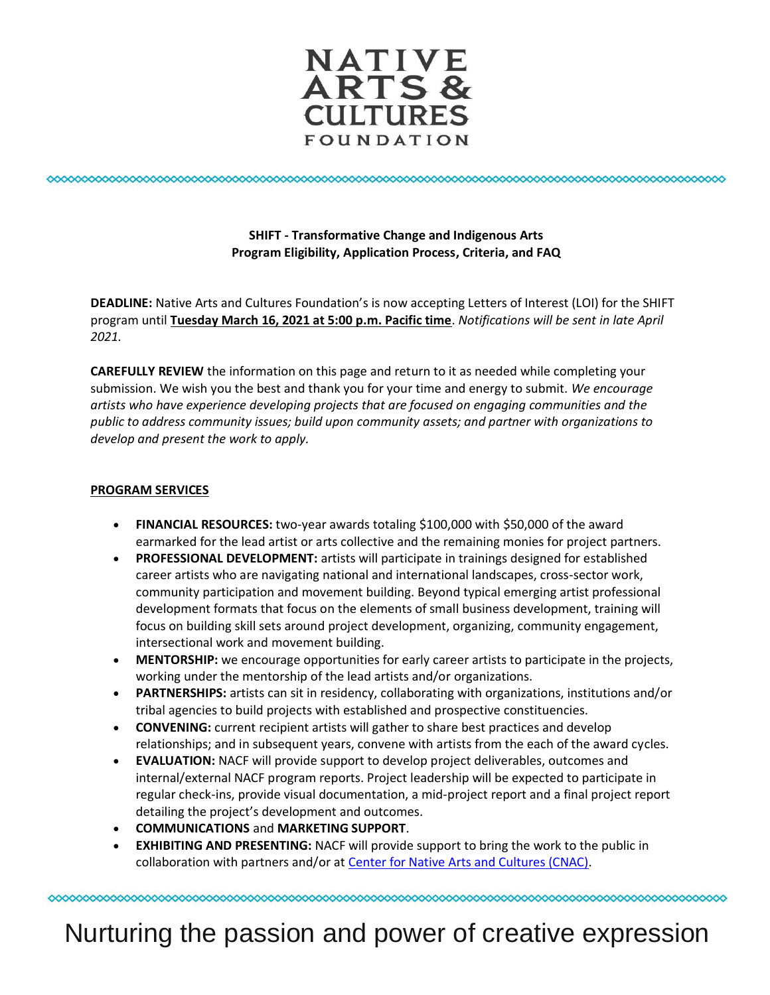

## **SHIFT - Transformative Change and Indigenous Arts Program Eligibility, Application Process, Criteria, and FAQ**

**DEADLINE:** Native Arts and Cultures Foundation's is now accepting Letters of Interest (LOI) for the SHIFT program until **Tuesday March 16, 2021 at 5:00 p.m. Pacific time**. *Notifications will be sent in late April 2021.*

**CAREFULLY REVIEW** the information on this page and return to it as needed while completing your submission. We wish you the best and thank you for your time and energy to submit. *We encourage artists who have experience developing projects that are focused on engaging communities and the public to address community issues; build upon community assets; and partner with organizations to develop and present the work to apply.*

## **PROGRAM SERVICES**

- **FINANCIAL RESOURCES:** two-year awards totaling \$100,000 with \$50,000 of the award earmarked for the lead artist or arts collective and the remaining monies for project partners.
- **PROFESSIONAL DEVELOPMENT:** artists will participate in trainings designed for established career artists who are navigating national and international landscapes, cross-sector work, community participation and movement building. Beyond typical emerging artist professional development formats that focus on the elements of small business development, training will focus on building skill sets around project development, organizing, community engagement, intersectional work and movement building.
- **MENTORSHIP:** we encourage opportunities for early career artists to participate in the projects, working under the mentorship of the lead artists and/or organizations.
- **PARTNERSHIPS:** artists can sit in residency, collaborating with organizations, institutions and/or tribal agencies to build projects with established and prospective constituencies.
- **CONVENING:** current recipient artists will gather to share best practices and develop relationships; and in subsequent years, convene with artists from the each of the award cycles.
- **EVALUATION:** NACF will provide support to develop project deliverables, outcomes and internal/external NACF program reports. Project leadership will be expected to participate in regular check-ins, provide visual documentation, a mid-project report and a final project report detailing the project's development and outcomes.
- **COMMUNICATIONS** and **MARKETING SUPPORT**.
- **EXHIBITING AND PRESENTING:** NACF will provide support to bring the work to the public in collaboration with partners and/or at [Center for Native Arts and Cultures \(CNAC\).](https://www.nativeartsandcultures.org/making-space-for-change)

Nurturing the passion and power of creative expression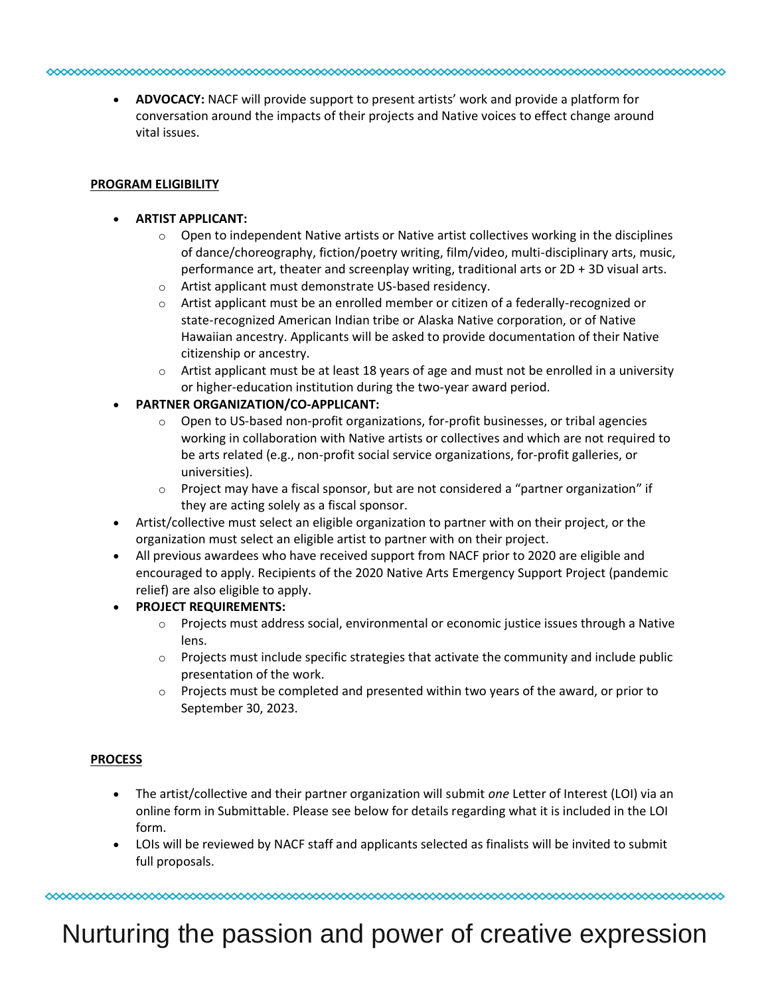#### 

• **ADVOCACY:** NACF will provide support to present artists' work and provide a platform for conversation around the impacts of their projects and Native voices to effect change around vital issues.

#### **PROGRAM ELIGIBILITY**

### • **ARTIST APPLICANT:**

- $\circ$  Open to independent Native artists or Native artist collectives working in the disciplines of dance/choreography, fiction/poetry writing, film/video, multi-disciplinary arts, music, performance art, theater and screenplay writing, traditional arts or 2D + 3D visual arts.
- o Artist applicant must demonstrate US-based residency.
- $\circ$  Artist applicant must be an enrolled member or citizen of a federally-recognized or state-recognized American Indian tribe or Alaska Native corporation, or of Native Hawaiian ancestry. Applicants will be asked to provide documentation of their Native citizenship or ancestry.
- $\circ$  Artist applicant must be at least 18 years of age and must not be enrolled in a university or higher-education institution during the two-year award period.

## • **PARTNER ORGANIZATION/CO-APPLICANT:**

- $\circ$  Open to US-based non-profit organizations, for-profit businesses, or tribal agencies working in collaboration with Native artists or collectives and which are not required to be arts related (e.g., non-profit social service organizations, for-profit galleries, or universities).
- $\circ$  Project may have a fiscal sponsor, but are not considered a "partner organization" if they are acting solely as a fiscal sponsor.
- Artist/collective must select an eligible organization to partner with on their project, or the organization must select an eligible artist to partner with on their project.
- All previous awardees who have received support from NACF prior to 2020 are eligible and encouraged to apply. Recipients of the 2020 Native Arts Emergency Support Project (pandemic relief) are also eligible to apply.
- **PROJECT REQUIREMENTS:**
	- $\circ$  Projects must address social, environmental or economic justice issues through a Native lens.
	- $\circ$  Projects must include specific strategies that activate the community and include public presentation of the work.
	- $\circ$  Projects must be completed and presented within two years of the award, or prior to September 30, 2023.

## **PROCESS**

- The artist/collective and their partner organization will submit *one* Letter of Interest (LOI) via an online form in Submittable. Please see below for details regarding what it is included in the LOI form.
- LOIs will be reviewed by NACF staff and applicants selected as finalists will be invited to submit full proposals.

Nurturing the passion and power of creative expression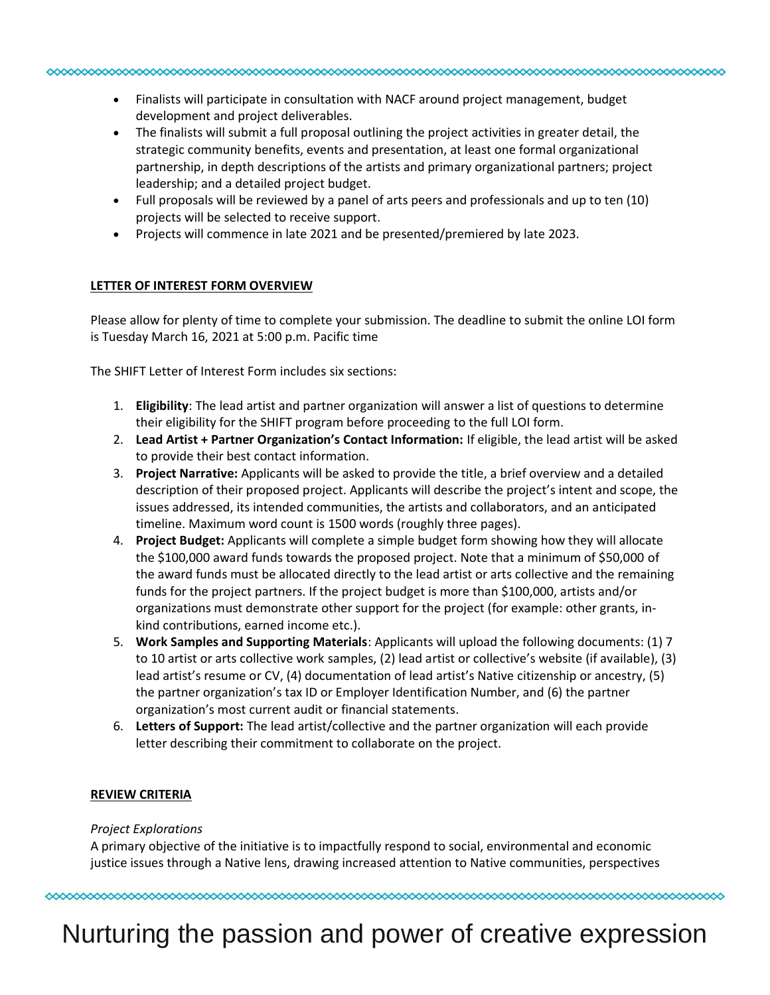- Finalists will participate in consultation with NACF around project management, budget development and project deliverables.
- The finalists will submit a full proposal outlining the project activities in greater detail, the strategic community benefits, events and presentation, at least one formal organizational partnership, in depth descriptions of the artists and primary organizational partners; project leadership; and a detailed project budget.
- Full proposals will be reviewed by a panel of arts peers and professionals and up to ten (10) projects will be selected to receive support.
- Projects will commence in late 2021 and be presented/premiered by late 2023.

#### **LETTER OF INTEREST FORM OVERVIEW**

Please allow for plenty of time to complete your submission. The deadline to submit the online LOI form is Tuesday March 16, 2021 at 5:00 p.m. Pacific time

The SHIFT Letter of Interest Form includes six sections:

- 1. **Eligibility**: The lead artist and partner organization will answer a list of questions to determine their eligibility for the SHIFT program before proceeding to the full LOI form.
- 2. **Lead Artist + Partner Organization's Contact Information:** If eligible, the lead artist will be asked to provide their best contact information.
- 3. **Project Narrative:** Applicants will be asked to provide the title, a brief overview and a detailed description of their proposed project. Applicants will describe the project's intent and scope, the issues addressed, its intended communities, the artists and collaborators, and an anticipated timeline. Maximum word count is 1500 words (roughly three pages).
- 4. **Project Budget:** Applicants will complete a simple budget form showing how they will allocate the \$100,000 award funds towards the proposed project. Note that a minimum of \$50,000 of the award funds must be allocated directly to the lead artist or arts collective and the remaining funds for the project partners. If the project budget is more than \$100,000, artists and/or organizations must demonstrate other support for the project (for example: other grants, inkind contributions, earned income etc.).
- 5. **Work Samples and Supporting Materials**: Applicants will upload the following documents: (1) 7 to 10 artist or arts collective work samples, (2) lead artist or collective's website (if available), (3) lead artist's resume or CV, (4) documentation of lead artist's Native citizenship or ancestry, (5) the partner organization's tax ID or Employer Identification Number, and (6) the partner organization's most current audit or financial statements.
- 6. **Letters of Support:** The lead artist/collective and the partner organization will each provide letter describing their commitment to collaborate on the project.

#### **REVIEW CRITERIA**

#### *Project Explorations*

A primary objective of the initiative is to impactfully respond to social, environmental and economic justice issues through a Native lens, drawing increased attention to Native communities, perspectives

# Nurturing the passion and power of creative expression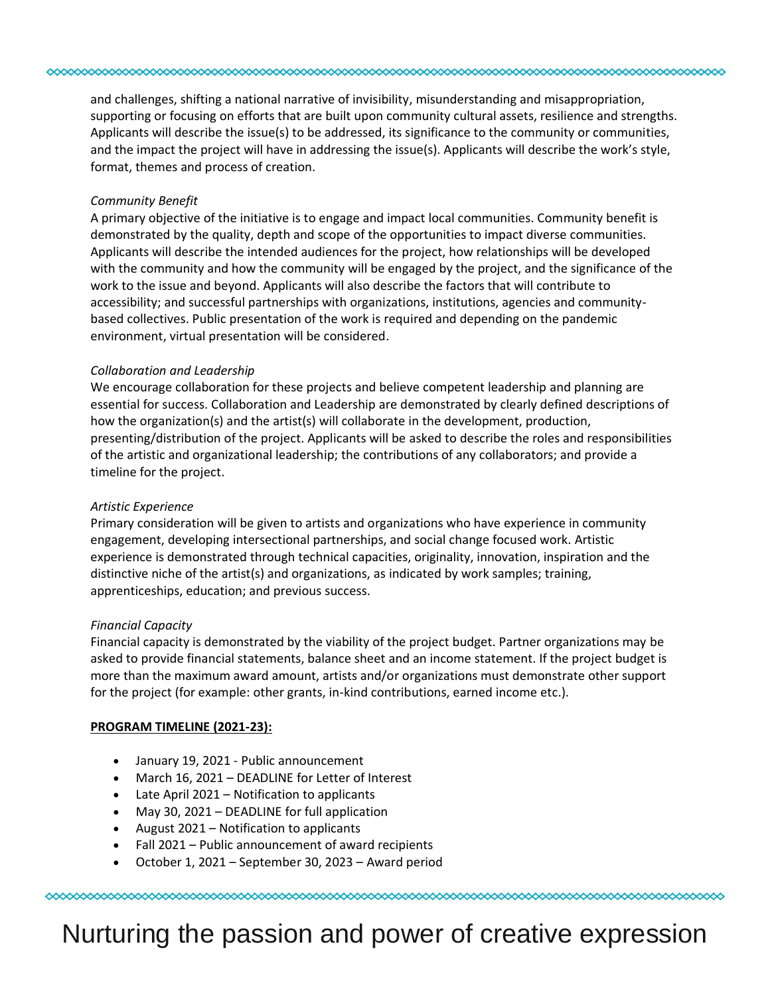and challenges, shifting a national narrative of invisibility, misunderstanding and misappropriation, supporting or focusing on efforts that are built upon community cultural assets, resilience and strengths. Applicants will describe the issue(s) to be addressed, its significance to the community or communities, and the impact the project will have in addressing the issue(s). Applicants will describe the work's style, format, themes and process of creation.

#### *Community Benefit*

A primary objective of the initiative is to engage and impact local communities. Community benefit is demonstrated by the quality, depth and scope of the opportunities to impact diverse communities. Applicants will describe the intended audiences for the project, how relationships will be developed with the community and how the community will be engaged by the project, and the significance of the work to the issue and beyond. Applicants will also describe the factors that will contribute to accessibility; and successful partnerships with organizations, institutions, agencies and communitybased collectives. Public presentation of the work is required and depending on the pandemic environment, virtual presentation will be considered.

#### *Collaboration and Leadership*

We encourage collaboration for these projects and believe competent leadership and planning are essential for success. Collaboration and Leadership are demonstrated by clearly defined descriptions of how the organization(s) and the artist(s) will collaborate in the development, production, presenting/distribution of the project. Applicants will be asked to describe the roles and responsibilities of the artistic and organizational leadership; the contributions of any collaborators; and provide a timeline for the project.

#### *Artistic Experience*

Primary consideration will be given to artists and organizations who have experience in community engagement, developing intersectional partnerships, and social change focused work. Artistic experience is demonstrated through technical capacities, originality, innovation, inspiration and the distinctive niche of the artist(s) and organizations, as indicated by work samples; training, apprenticeships, education; and previous success.

#### *Financial Capacity*

Financial capacity is demonstrated by the viability of the project budget. Partner organizations may be asked to provide financial statements, balance sheet and an income statement. If the project budget is more than the maximum award amount, artists and/or organizations must demonstrate other support for the project (for example: other grants, in-kind contributions, earned income etc.).

#### **PROGRAM TIMELINE (2021-23):**

- January 19, 2021 Public announcement
- March 16, 2021 DEADLINE for Letter of Interest
- Late April 2021 Notification to applicants
- May 30, 2021 DEADLINE for full application
- August 2021 Notification to applicants
- Fall 2021 Public announcement of award recipients
- October 1, 2021 September 30, 2023 Award period

# Nurturing the passion and power of creative expression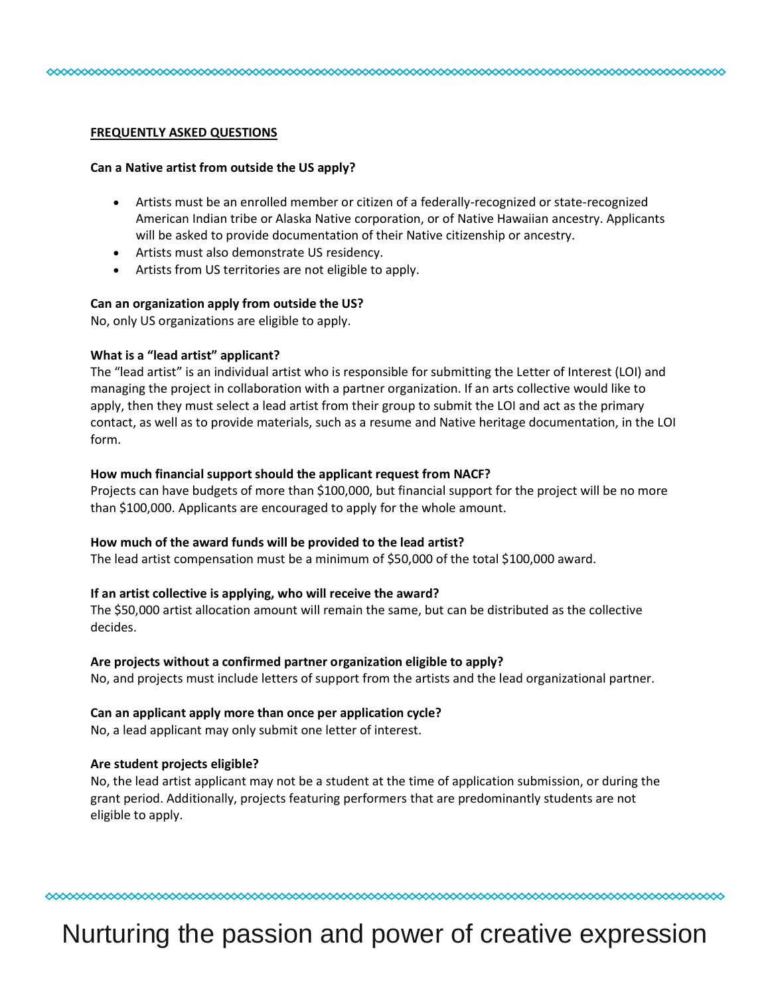#### **FREQUENTLY ASKED QUESTIONS**

#### **Can a Native artist from outside the US apply?**

• Artists must be an enrolled member or citizen of a federally-recognized or state-recognized American Indian tribe or Alaska Native corporation, or of Native Hawaiian ancestry. Applicants will be asked to provide documentation of their Native citizenship or ancestry.

- Artists must also demonstrate US residency.
- Artists from US territories are not eligible to apply.

#### **Can an organization apply from outside the US?**

No, only US organizations are eligible to apply.

#### **What is a "lead artist" applicant?**

The "lead artist" is an individual artist who is responsible for submitting the Letter of Interest (LOI) and managing the project in collaboration with a partner organization. If an arts collective would like to apply, then they must select a lead artist from their group to submit the LOI and act as the primary contact, as well as to provide materials, such as a resume and Native heritage documentation, in the LOI form.

#### **How much financial support should the applicant request from NACF?**

Projects can have budgets of more than \$100,000, but financial support for the project will be no more than \$100,000. Applicants are encouraged to apply for the whole amount.

#### **How much of the award funds will be provided to the lead artist?**

The lead artist compensation must be a minimum of \$50,000 of the total \$100,000 award.

#### **If an artist collective is applying, who will receive the award?**

The \$50,000 artist allocation amount will remain the same, but can be distributed as the collective decides.

#### **Are projects without a confirmed partner organization eligible to apply?**

No, and projects must include letters of support from the artists and the lead organizational partner.

#### **Can an applicant apply more than once per application cycle?**

No, a lead applicant may only submit one letter of interest.

#### **Are student projects eligible?**

No, the lead artist applicant may not be a student at the time of application submission, or during the grant period. Additionally, projects featuring performers that are predominantly students are not eligible to apply.

## Nurturing the passion and power of creative expression